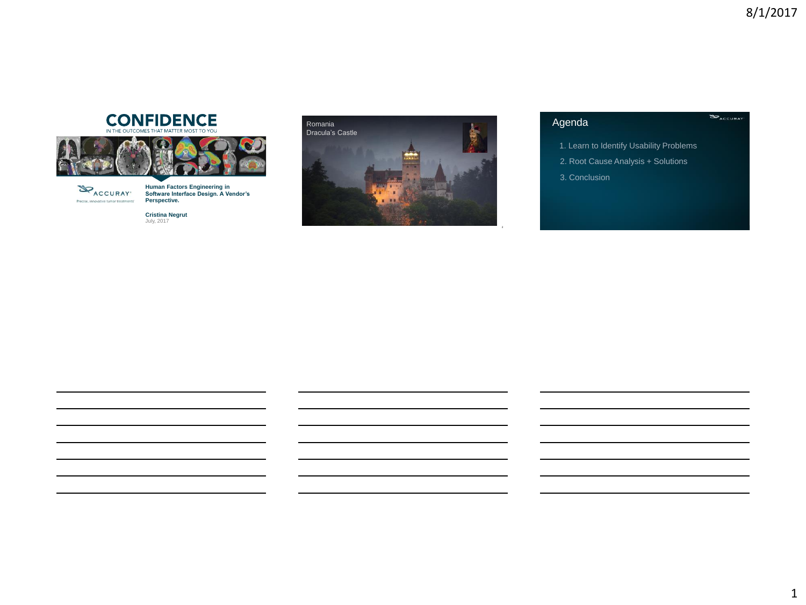# **CONFIDENCE**





**Human Factors Engineering in Software Interface Design. A Vendor's Perspective.** 

**Cristina Negrut** July, 2017



### Agenda

1. Learn to Identify Usability Problems

2. Root Cause Analysis + Solutions

3. Conclusion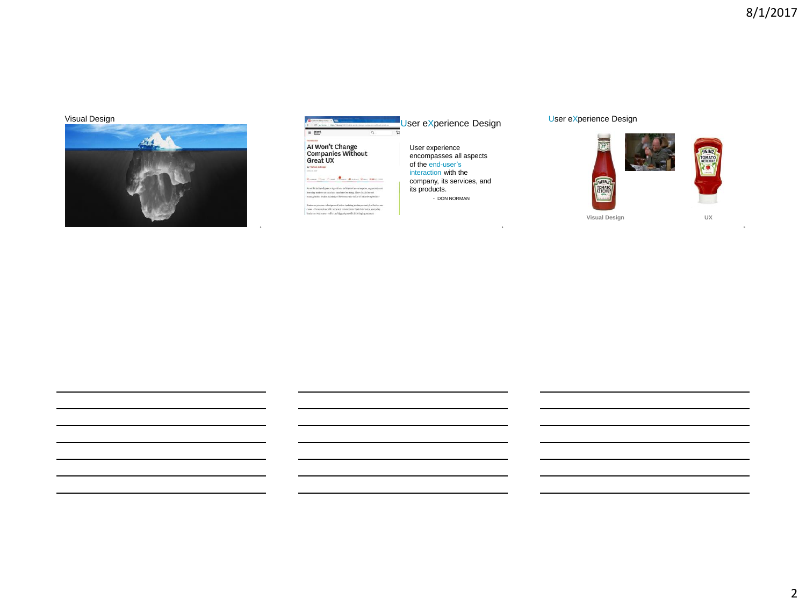6

### Visual Design



| Senare   https://decara/2017/4/639-sentic banker-companies sellings const as    | User eXperience Design     |
|---------------------------------------------------------------------------------|----------------------------|
| Maryant<br>Basiness<br>ö                                                        |                            |
| <b>TECHNOLOGY</b>                                                               |                            |
| Al Won't Change                                                                 | User experience            |
|                                                                                 |                            |
| <b>Companies Without</b>                                                        | encompasses all aspects    |
| Great UX                                                                        |                            |
| by Hichard Schrage                                                              | of the end-user's          |
| appear and month                                                                | interaction with the       |
| Warrant Dison Classe Channel Mourant Classe MMACONE                             |                            |
|                                                                                 | company, its services, and |
| As artificial intelligency algorithms infiltrate the exterprise, organizational |                            |
| learning matters as much as muchine learning. How should smoot                  | its products.              |
| transportant boarder planning the second transmitters among transportant        | - DON NORMAN               |
| Business process redesign and better training are inspectant, but better use    |                            |
| cases - those real-world tasks and interactions that determine everyday         |                            |
| business concomes - offer the biggest payoffs. Privileging smorter              |                            |

4 and 5 and 5 and 5 and 5 and 5 and 5 and 5 and 5 and 5 and 5 and 5 and 5 and 5 and 5 and 5 and 5 and 5 and 5

User eXperience Design

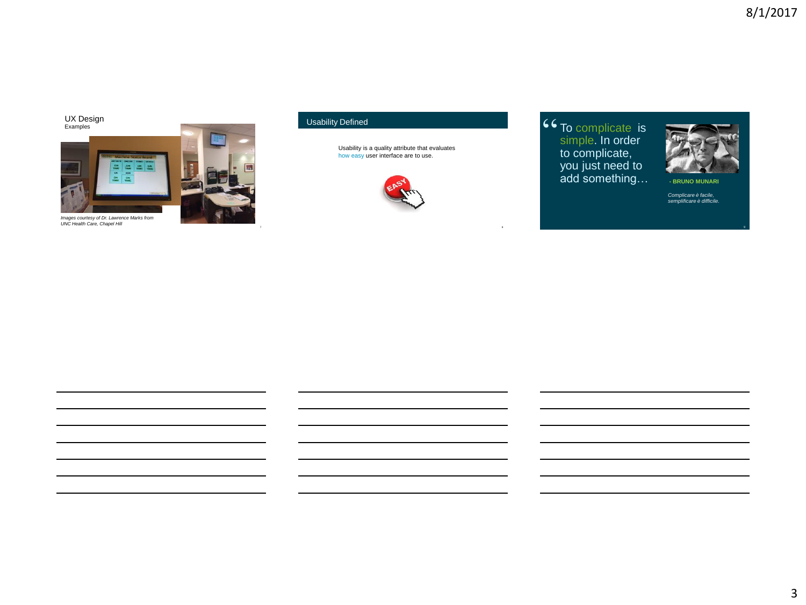Examples UX Design



*Images courtesy of Dr. Lawrence Marks from UNC Health Care, Chapel Hill*

### Usability Defined

Usability is a quality attribute that evaluates<br>how easy user interface are to use.



8

**44** To complicate is simple. In order simple. In order to complicate, you just need to add something…



9

**- BRUNO MUNARI**

*Complicare è facile, semplificare è difficile.*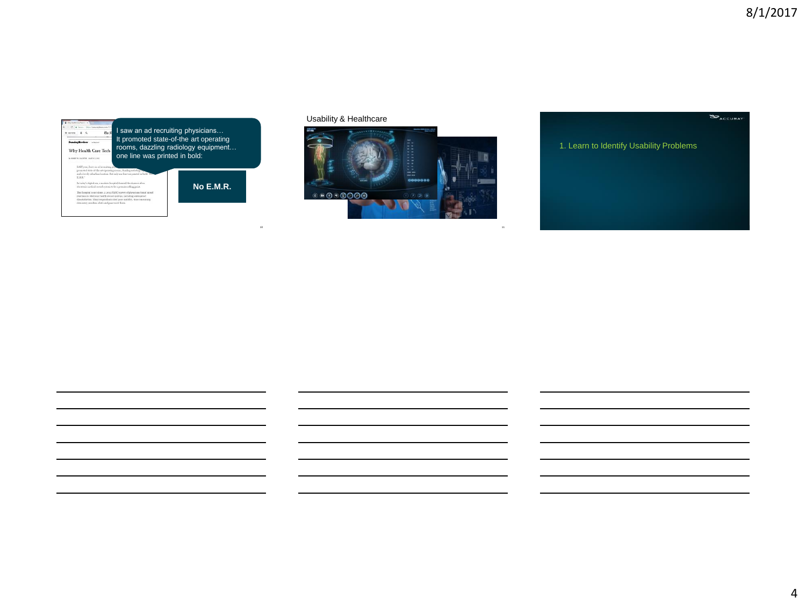

Usability & Healthcare

10



11

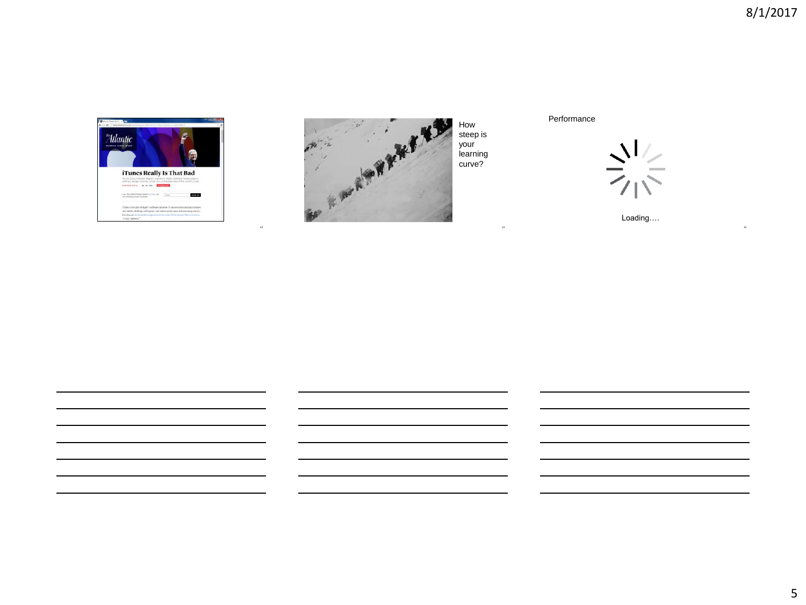15





How steep is your learning Performance



Loading….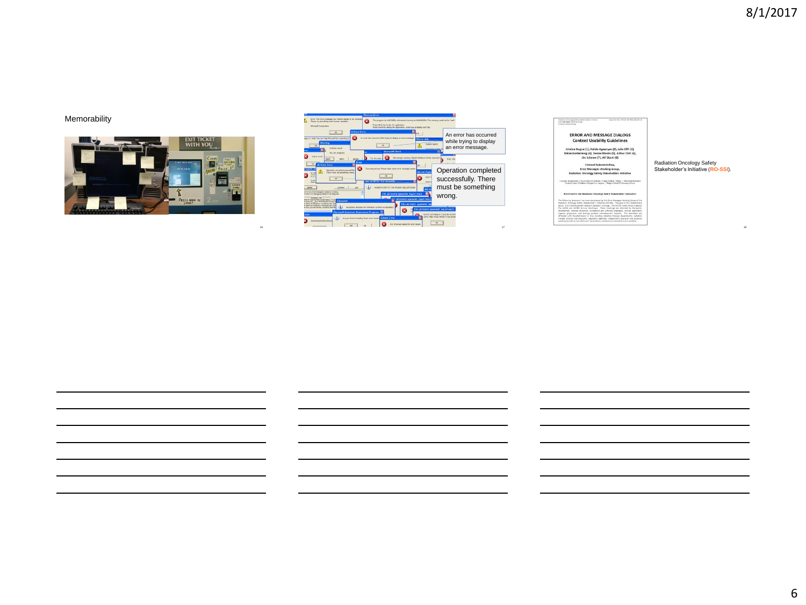### Memorability



16



# Hadson Discript Siles State<br>Brochester Statistics<br>Corant Substitution

# **ERROR AND MESSAGE DIALOGS<br>Content Usability Guidelines**

Cristina Negrut (1), Nzivîs Agazaryan (2), Julie Clift (3), Niklas Hardenburg (4), Denise Monks (5), Arthur Olch (6), Jim Schewe (7), Alf Siochi (8) Content Subcommittee,<br>Error Messages Working Group,<br>on Oncology Safety Stakeholders Initiative

### Radiation Oncology Safety Stakeholder's Initiative (**RO-SSI**).

18

.<br>and of Madeians, 3 Varian Madeial, 4 De<br>forgoted Cars Ampeles, 7 Philips Nichted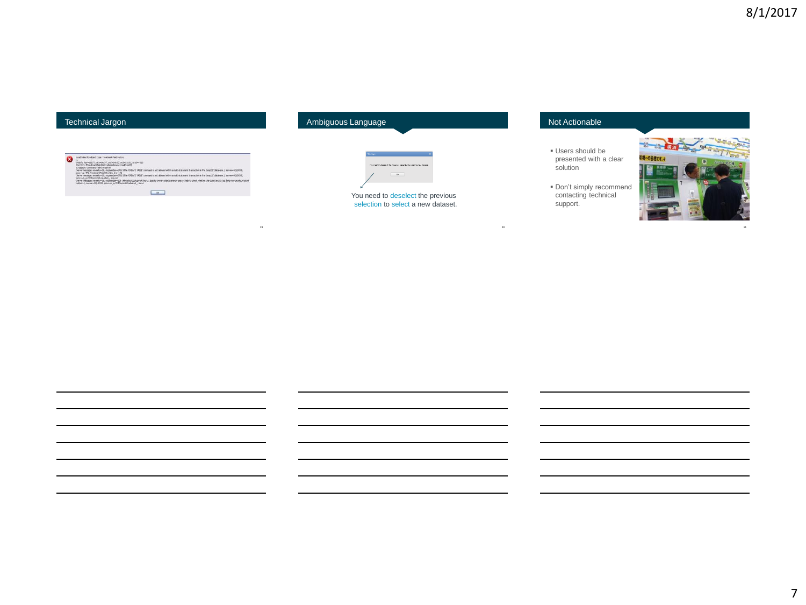### Technical Jargon

| Load Falled for object type: Toppinger Fald blotony<br>DESIG: Nov=68277, tri3=68277, st2=14105, sn3=13153, sn30=7336.                                                                                                                                                                   |
|-----------------------------------------------------------------------------------------------------------------------------------------------------------------------------------------------------------------------------------------------------------------------------------------|
| Function: MinestmentFieldHator-Pensatence: LoadFronCO<br>Note: the self-control of the self-control of the self-control of the self-control of the self-control of the self-control of the self-control of the self-control of the self-control of the self-control of the self-control |
| Exception: Command Laked on server<br>Server message: severity=16, esgnuatee=2762 (The 'OREATE TABLE' command is not allowed within a nutli-statement transaction in the Tempoli' database 3, server=50,6018                                                                            |
| process .TPS. freatmentheld-stryGet, Inew192<br>layer message; severity of a supporter (2162 Che "Off ATE Table" compared is not allowed within a radio statement ingress time in the funeral (database), servered 0.010.                                                               |
| Glennet - between Hillschedung average<br>Server message: severits=16, magnumber=206 (#Fractors.cology not found. Specify owner objectmane or use sp. help to check whether the object exots (as help now produce lots of                                                               |
| output).), server=50LB018, proc=sp_sv19(TRecordid)saluated _ line=1                                                                                                                                                                                                                     |
| te de la provincia de la provincia de la provincia de la provincia de la provincia de la provincia de la provi                                                                                                                                                                          |
|                                                                                                                                                                                                                                                                                         |

19

### Ambiguous Language



## You need to deselect the previous selection to select a new dataset.

### Not Actionable

20

- Users should be presented with a clear solution
- Don't simply recommend contacting technical support.



21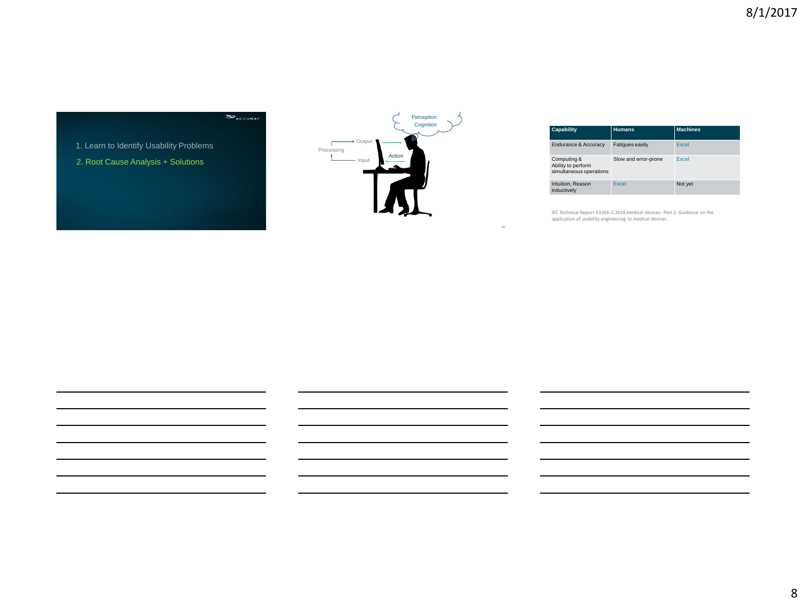1. Learn to Identify Usability Problems

2. Root Cause Analysis + Solutions



23

| Capability                                                   | <b>Humans</b>          | <b>Machines</b> |
|--------------------------------------------------------------|------------------------|-----------------|
| Endurance & Accuracy                                         | <b>Fatigues easily</b> | <b>Excel</b>    |
| Computing &<br>Ability to perform<br>simultaneous operations | Slow and error-prone   | Excel           |
| Intuition, Reason<br>inductively                             | Excel                  | Not yet         |

IEC Technical Report 63366-2:2016 Medical devices- Part 2: Guidance on the application of usability engineering to medical devices.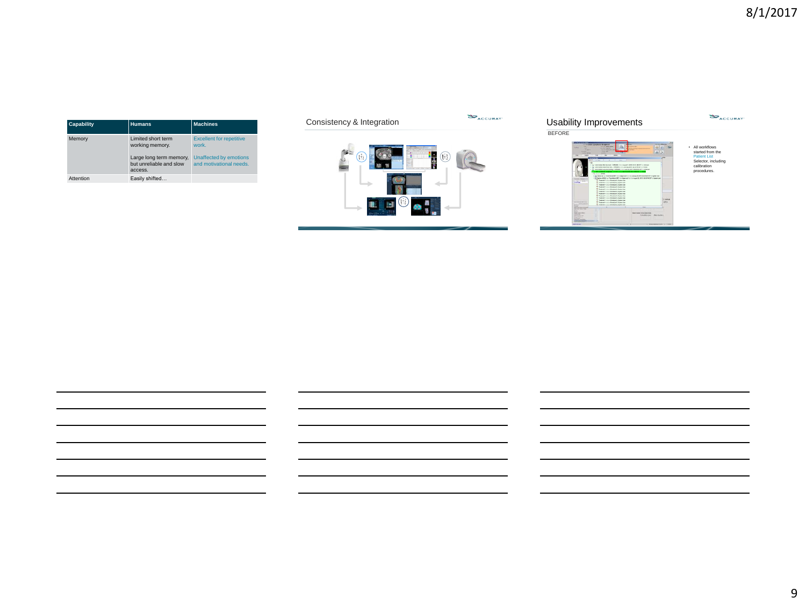| <b>Capability</b> | <b>Humans</b>                                                                               | <b>Machines</b>                                                                               |
|-------------------|---------------------------------------------------------------------------------------------|-----------------------------------------------------------------------------------------------|
| Memory            | Limited short term<br>working memory.<br>Large long term memory,<br>but unreliable and slow | <b>Excellent for repetitive</b><br>work.<br>Unaffected by emotions<br>and motivational needs. |
|                   | access.                                                                                     |                                                                                               |
| Attention         | Easily shifted                                                                              |                                                                                               |





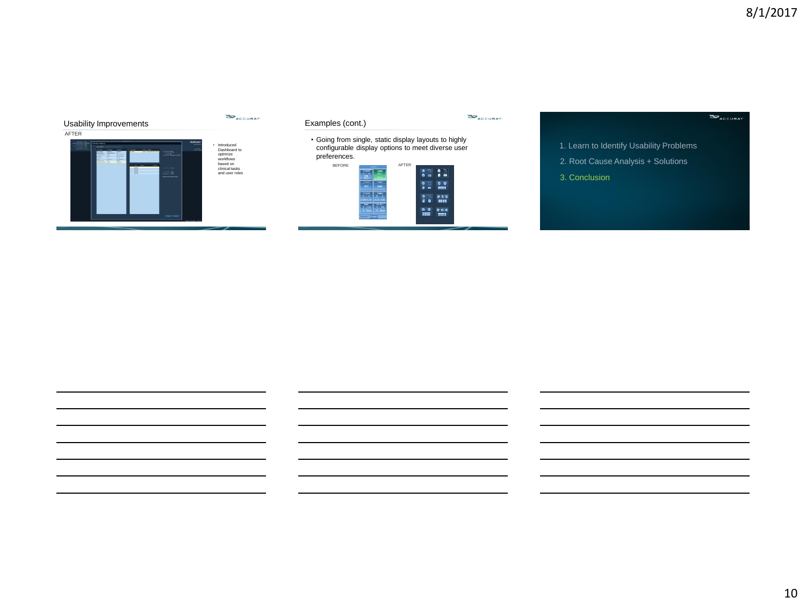

- 1. Learn to Identify Usability Problems
- 2. Root Cause Analysis + Solutions
- 3. Conclusion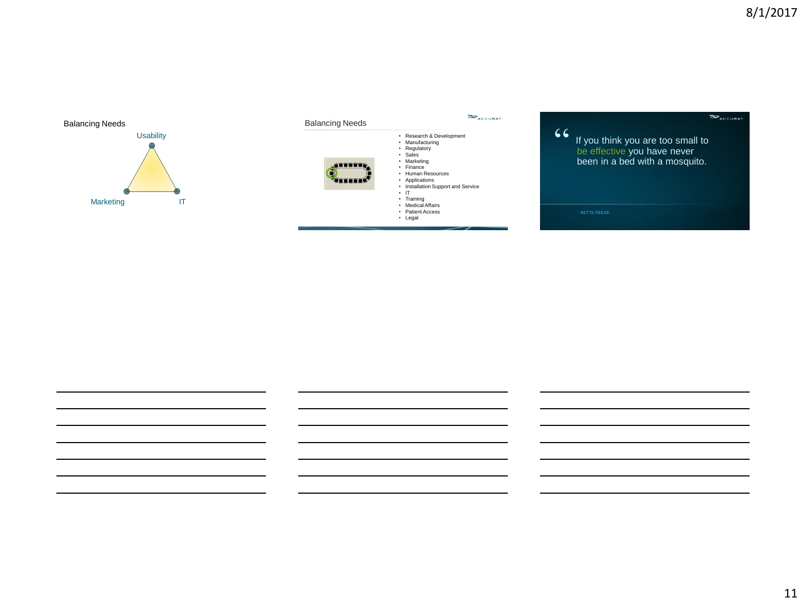